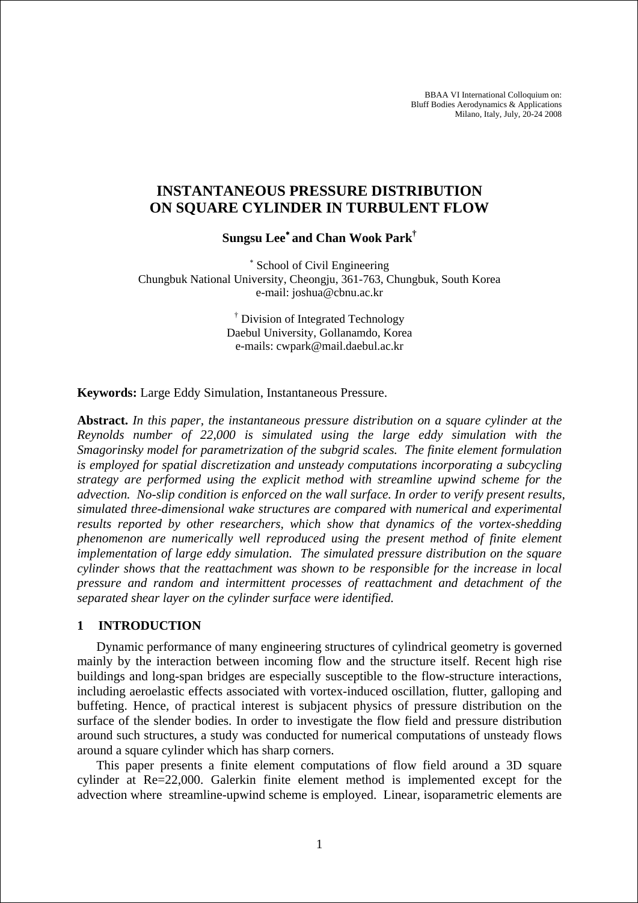BBAA VI International Colloquium on: Bluff Bodies Aerodynamics & Applications Milano, Italy, July, 20-24 2008

# **INSTANTANEOUS PRESSURE DISTRIBUTION ON SQUARE CYLINDER IN TURBULENT FLOW**

**Sungsu Lee**<sup>∗</sup> **and Chan Wook Park†** 

∗ School of Civil Engineering Chungbuk National University, Cheongju, 361-763, Chungbuk, South Korea e-mail: joshua@cbnu.ac.kr

> † Division of Integrated Technology Daebul University, Gollanamdo, Korea e-mails: cwpark@mail.daebul.ac.kr

**Keywords:** Large Eddy Simulation, Instantaneous Pressure.

**Abstract.** *In this paper, the instantaneous pressure distribution on a square cylinder at the Reynolds number of 22,000 is simulated using the large eddy simulation with the Smagorinsky model for parametrization of the subgrid scales. The finite element formulation is employed for spatial discretization and unsteady computations incorporating a subcycling strategy are performed using the explicit method with streamline upwind scheme for the advection. No-slip condition is enforced on the wall surface. In order to verify present results, simulated three-dimensional wake structures are compared with numerical and experimental results reported by other researchers, which show that dynamics of the vortex-shedding phenomenon are numerically well reproduced using the present method of finite element implementation of large eddy simulation. The simulated pressure distribution on the square cylinder shows that the reattachment was shown to be responsible for the increase in local pressure and random and intermittent processes of reattachment and detachment of the separated shear layer on the cylinder surface were identified.* 

# **1 INTRODUCTION**

Dynamic performance of many engineering structures of cylindrical geometry is governed mainly by the interaction between incoming flow and the structure itself. Recent high rise buildings and long-span bridges are especially susceptible to the flow-structure interactions, including aeroelastic effects associated with vortex-induced oscillation, flutter, galloping and buffeting. Hence, of practical interest is subjacent physics of pressure distribution on the surface of the slender bodies. In order to investigate the flow field and pressure distribution around such structures, a study was conducted for numerical computations of unsteady flows around a square cylinder which has sharp corners.

This paper presents a finite element computations of flow field around a 3D square cylinder at Re=22,000. Galerkin finite element method is implemented except for the advection where streamline-upwind scheme is employed. Linear, isoparametric elements are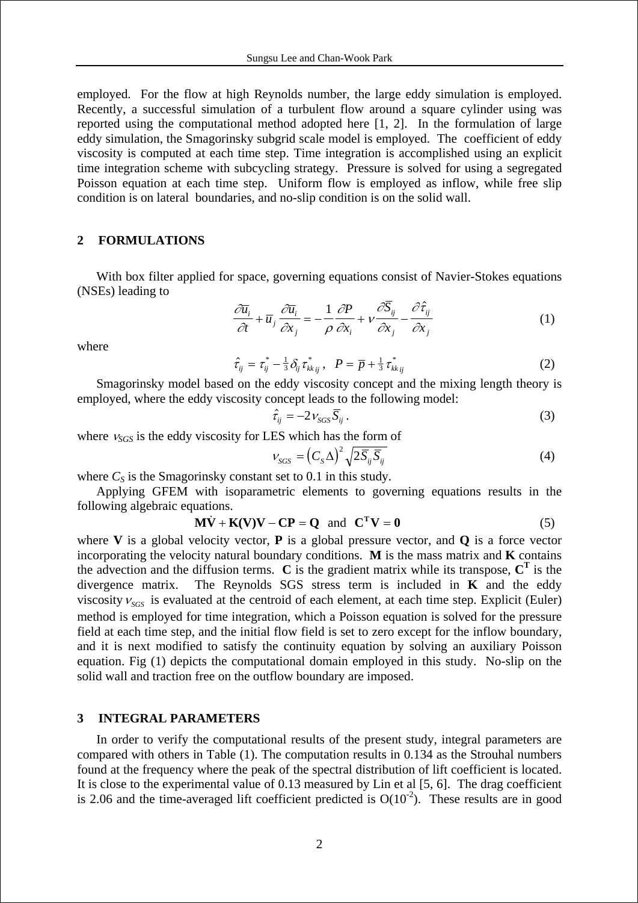employed. For the flow at high Reynolds number, the large eddy simulation is employed. Recently, a successful simulation of a turbulent flow around a square cylinder using was reported using the computational method adopted here [1, 2]. In the formulation of large eddy simulation, the Smagorinsky subgrid scale model is employed. The coefficient of eddy viscosity is computed at each time step. Time integration is accomplished using an explicit time integration scheme with subcycling strategy. Pressure is solved for using a segregated Poisson equation at each time step. Uniform flow is employed as inflow, while free slip condition is on lateral boundaries, and no-slip condition is on the solid wall.

# **2 FORMULATIONS**

With box filter applied for space, governing equations consist of Navier-Stokes equations (NSEs) leading to

$$
\frac{\partial \overline{u}_i}{\partial t} + \overline{u}_j \frac{\partial \overline{u}_i}{\partial x_j} = -\frac{1}{\rho} \frac{\partial P}{\partial x_i} + v \frac{\partial \overline{S}_{ij}}{\partial x_j} - \frac{\partial \hat{\tau}_{ij}}{\partial x_j}
$$
(1)

where

$$
\hat{\tau}_{ij} = \tau_{ij}^* - \frac{1}{3} \delta_{ij} \tau_{kk\,ij}^*, \quad P = \overline{p} + \frac{1}{3} \tau_{kk\,ij}^* \tag{2}
$$

Smagorinsky model based on the eddy viscosity concept and the mixing length theory is employed, where the eddy viscosity concept leads to the following model:

$$
\hat{\tau}_{ij} = -2 \, \nu_{SGS} \, \overline{S}_{ij} \,. \tag{3}
$$

where <sup>ν</sup>*SGS* is the eddy viscosity for LES which has the form of

$$
V_{SGS} = \left(C_S \Delta\right)^2 \sqrt{2\overline{S}_{ij}\overline{S}_{ij}}
$$
\n(4)

where  $C_s$  is the Smagorinsky constant set to 0.1 in this study.

Applying GFEM with isoparametric elements to governing equations results in the following algebraic equations.

$$
\mathbf{M}\dot{\mathbf{V}} + \mathbf{K}(\mathbf{V})\mathbf{V} - \mathbf{C}\mathbf{P} = \mathbf{Q} \text{ and } \mathbf{C}^{\mathrm{T}}\mathbf{V} = \mathbf{0}
$$
 (5)

where **V** is a global velocity vector, **P** is a global pressure vector, and **Q** is a force vector incorporating the velocity natural boundary conditions. **M** is the mass matrix and **K** contains the advection and the diffusion terms.  $\bf{C}$  is the gradient matrix while its transpose,  $\bf{C}^T$  is the divergence matrix. The Reynolds SGS stress term is included in **K** and the eddy viscosity  $v_{SGS}$  is evaluated at the centroid of each element, at each time step. Explicit (Euler) method is employed for time integration, which a Poisson equation is solved for the pressure field at each time step, and the initial flow field is set to zero except for the inflow boundary, and it is next modified to satisfy the continuity equation by solving an auxiliary Poisson equation. Fig (1) depicts the computational domain employed in this study. No-slip on the solid wall and traction free on the outflow boundary are imposed.

#### **3 INTEGRAL PARAMETERS**

In order to verify the computational results of the present study, integral parameters are compared with others in Table (1). The computation results in 0.134 as the Strouhal numbers found at the frequency where the peak of the spectral distribution of lift coefficient is located. It is close to the experimental value of 0.13 measured by Lin et al [5, 6]. The drag coefficient is 2.06 and the time-averaged lift coefficient predicted is  $O(10^{-2})$ . These results are in good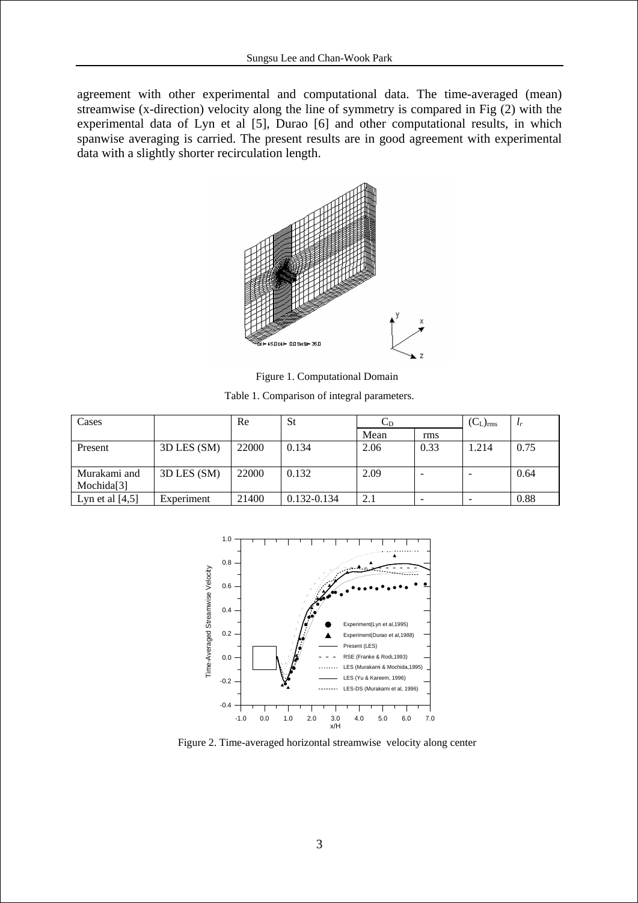agreement with other experimental and computational data. The time-averaged (mean) streamwise (x-direction) velocity along the line of symmetry is compared in Fig (2) with the experimental data of Lyn et al [5], Durao [6] and other computational results, in which spanwise averaging is carried. The present results are in good agreement with experimental data with a slightly shorter recirculation length.



Figure 1. Computational Domain

Table 1. Comparison of integral parameters.

| Cases             |             | Re    | St          | ◡ಗ   |      | $(C_L)_{rms}$ | $l_r$ |
|-------------------|-------------|-------|-------------|------|------|---------------|-------|
|                   |             |       |             | Mean | rms  |               |       |
| Present           | 3D LES (SM) | 22000 | 0.134       | 2.06 | 0.33 | 1.214         | 0.75  |
|                   |             |       |             |      |      |               |       |
| Murakami and      | 3D LES (SM) | 22000 | 0.132       | 2.09 |      |               | 0.64  |
| Mochida[3]        |             |       |             |      |      |               |       |
| Lyn et al $[4,5]$ | Experiment  | 21400 | 0.132-0.134 | 2.1  |      |               | 0.88  |



Figure 2. Time-averaged horizontal streamwise velocity along center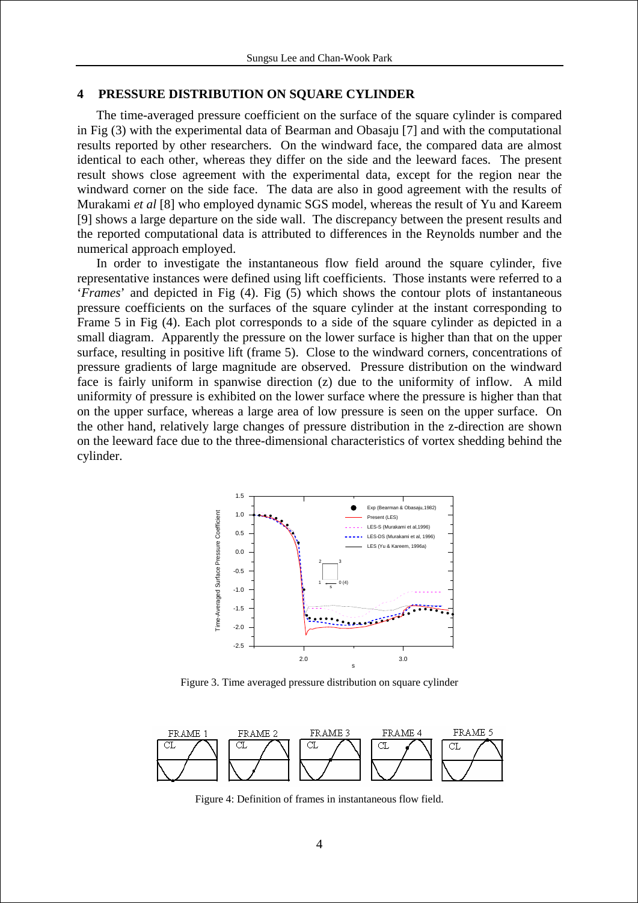## **4 PRESSURE DISTRIBUTION ON SQUARE CYLINDER**

The time-averaged pressure coefficient on the surface of the square cylinder is compared in Fig (3) with the experimental data of Bearman and Obasaju [7] and with the computational results reported by other researchers. On the windward face, the compared data are almost identical to each other, whereas they differ on the side and the leeward faces. The present result shows close agreement with the experimental data, except for the region near the windward corner on the side face. The data are also in good agreement with the results of Murakami *et al* [8] who employed dynamic SGS model, whereas the result of Yu and Kareem [9] shows a large departure on the side wall. The discrepancy between the present results and the reported computational data is attributed to differences in the Reynolds number and the numerical approach employed.

In order to investigate the instantaneous flow field around the square cylinder, five representative instances were defined using lift coefficients. Those instants were referred to a '*Frames*' and depicted in Fig (4). Fig (5) which shows the contour plots of instantaneous pressure coefficients on the surfaces of the square cylinder at the instant corresponding to Frame 5 in Fig (4). Each plot corresponds to a side of the square cylinder as depicted in a small diagram. Apparently the pressure on the lower surface is higher than that on the upper surface, resulting in positive lift (frame 5). Close to the windward corners, concentrations of pressure gradients of large magnitude are observed. Pressure distribution on the windward face is fairly uniform in spanwise direction (z) due to the uniformity of inflow. A mild uniformity of pressure is exhibited on the lower surface where the pressure is higher than that on the upper surface, whereas a large area of low pressure is seen on the upper surface. On the other hand, relatively large changes of pressure distribution in the z-direction are shown on the leeward face due to the three-dimensional characteristics of vortex shedding behind the cylinder.



Figure 3. Time averaged pressure distribution on square cylinder



Figure 4: Definition of frames in instantaneous flow field.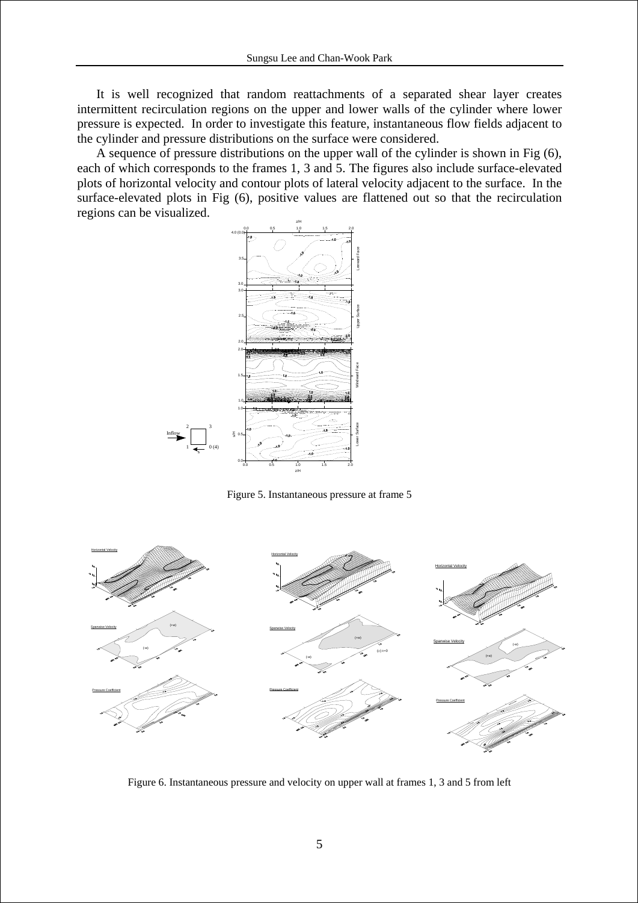It is well recognized that random reattachments of a separated shear layer creates intermittent recirculation regions on the upper and lower walls of the cylinder where lower pressure is expected. In order to investigate this feature, instantaneous flow fields adjacent to the cylinder and pressure distributions on the surface were considered.

A sequence of pressure distributions on the upper wall of the cylinder is shown in Fig (6), each of which corresponds to the frames 1, 3 and 5. The figures also include surface-elevated plots of horizontal velocity and contour plots of lateral velocity adjacent to the surface. In the surface-elevated plots in Fig (6), positive values are flattened out so that the recirculation regions can be visualized.



Figure 5. Instantaneous pressure at frame 5



Figure 6. Instantaneous pressure and velocity on upper wall at frames 1, 3 and 5 from left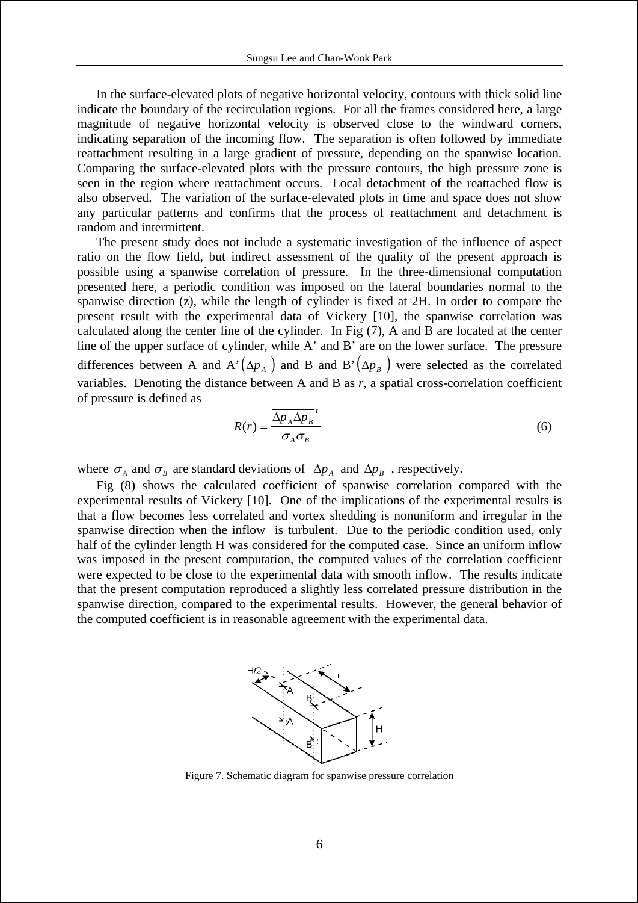In the surface-elevated plots of negative horizontal velocity, contours with thick solid line indicate the boundary of the recirculation regions. For all the frames considered here, a large magnitude of negative horizontal velocity is observed close to the windward corners, indicating separation of the incoming flow. The separation is often followed by immediate reattachment resulting in a large gradient of pressure, depending on the spanwise location. Comparing the surface-elevated plots with the pressure contours, the high pressure zone is seen in the region where reattachment occurs. Local detachment of the reattached flow is also observed. The variation of the surface-elevated plots in time and space does not show any particular patterns and confirms that the process of reattachment and detachment is random and intermittent.

The present study does not include a systematic investigation of the influence of aspect ratio on the flow field, but indirect assessment of the quality of the present approach is possible using a spanwise correlation of pressure. In the three-dimensional computation presented here, a periodic condition was imposed on the lateral boundaries normal to the spanwise direction (z), while the length of cylinder is fixed at 2H. In order to compare the present result with the experimental data of Vickery [10], the spanwise correlation was calculated along the center line of the cylinder. In Fig (7), A and B are located at the center line of the upper surface of cylinder, while A' and B' are on the lower surface. The pressure differences between A and A' $(\Delta p_A)$  and B and B' $(\Delta p_B)$  were selected as the correlated variables. Denoting the distance between A and B as *r*, a spatial cross-correlation coefficient of pressure is defined as

$$
R(r) = \frac{\overline{\Delta p_A \Delta p_B}^t}{\sigma_A \sigma_B}^t \tag{6}
$$

where  $\sigma_A$  and  $\sigma_B$  are standard deviations of  $\Delta p_A$  and  $\Delta p_B$ , respectively.

Fig (8) shows the calculated coefficient of spanwise correlation compared with the experimental results of Vickery [10]. One of the implications of the experimental results is that a flow becomes less correlated and vortex shedding is nonuniform and irregular in the spanwise direction when the inflow is turbulent. Due to the periodic condition used, only half of the cylinder length H was considered for the computed case. Since an uniform inflow was imposed in the present computation, the computed values of the correlation coefficient were expected to be close to the experimental data with smooth inflow. The results indicate that the present computation reproduced a slightly less correlated pressure distribution in the spanwise direction, compared to the experimental results. However, the general behavior of the computed coefficient is in reasonable agreement with the experimental data.



Figure 7. Schematic diagram for spanwise pressure correlation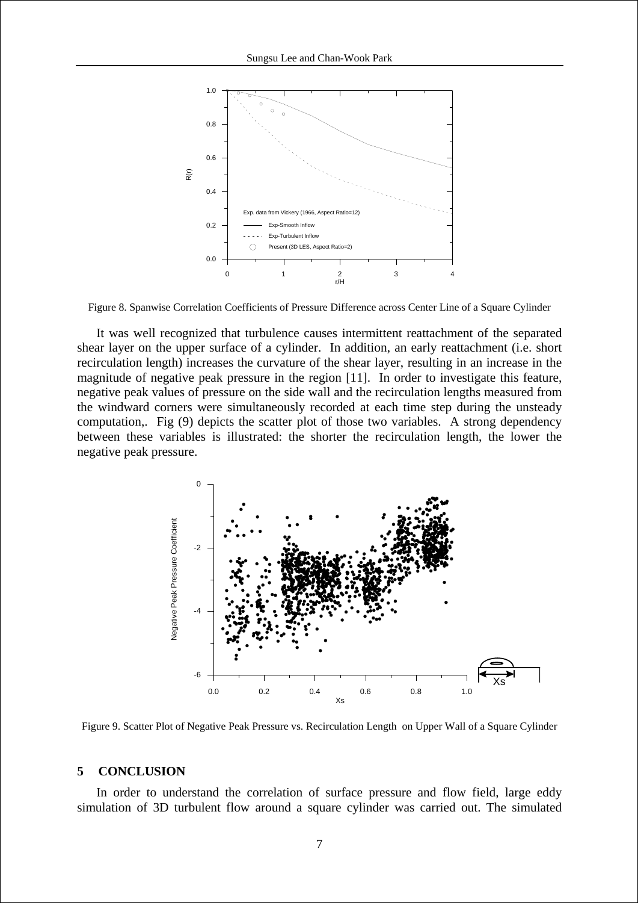

Figure 8. Spanwise Correlation Coefficients of Pressure Difference across Center Line of a Square Cylinder

It was well recognized that turbulence causes intermittent reattachment of the separated shear layer on the upper surface of a cylinder. In addition, an early reattachment (i.e. short recirculation length) increases the curvature of the shear layer, resulting in an increase in the magnitude of negative peak pressure in the region [11]. In order to investigate this feature, negative peak values of pressure on the side wall and the recirculation lengths measured from the windward corners were simultaneously recorded at each time step during the unsteady computation,. Fig (9) depicts the scatter plot of those two variables. A strong dependency between these variables is illustrated: the shorter the recirculation length, the lower the negative peak pressure.



Figure 9. Scatter Plot of Negative Peak Pressure vs. Recirculation Length on Upper Wall of a Square Cylinder

### **5 CONCLUSION**

In order to understand the correlation of surface pressure and flow field, large eddy simulation of 3D turbulent flow around a square cylinder was carried out. The simulated